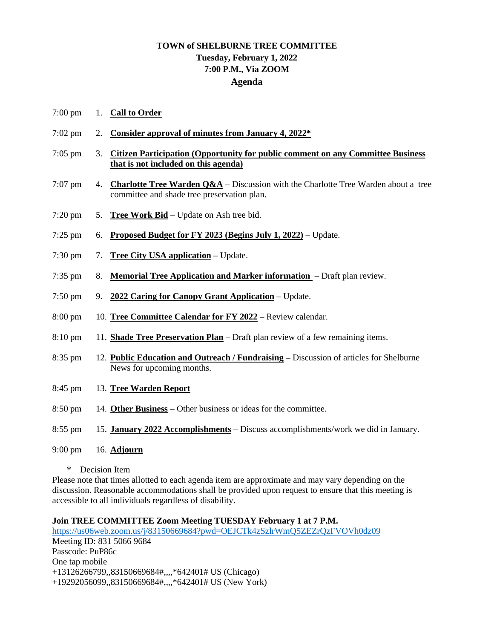## **TOWN of SHELBURNE TREE COMMITTEE Tuesday, February 1, 2022 7:00 P.M., Via ZOOM Agenda**

- 7:00 pm 1. **Call to Order**
- 7:02 pm 2. **Consider approval of minutes from January 4, 2022\***
- 7:05 pm 3. **Citizen Participation (Opportunity for public comment on any Committee Business that is not included on this agenda)**
- 7:07 pm 4. **Charlotte Tree Warden Q&A** Discussion with the Charlotte Tree Warden about a tree committee and shade tree preservation plan.
- 7:20 pm 5. **Tree Work Bid** Update on Ash tree bid.
- 7:25 pm 6. **Proposed Budget for FY 2023 (Begins July 1, 2022)** Update.
- 7:30 pm 7. **Tree City USA application** Update.
- 7:35 pm 8. **Memorial Tree Application and Marker information**  Draft plan review.
- 7:50 pm 9. **2022 Caring for Canopy Grant Application** Update.
- 8:00 pm 10. **Tree Committee Calendar for FY 2022** Review calendar.
- 8:10 pm 11. **Shade Tree Preservation Plan** Draft plan review of a few remaining items.
- 8:35 pm 12. **Public Education and Outreach / Fundraising** Discussion of articles for Shelburne News for upcoming months.
- 8:45 pm 13. **Tree Warden Report**
- 8:50 pm 14. **Other Business** Other business or ideas for the committee.
- 8:55 pm 15. **January 2022 Accomplishments** Discuss accomplishments/work we did in January.
- 9:00 pm 16. **Adjourn**
	- \* Decision Item

Please note that times allotted to each agenda item are approximate and may vary depending on the discussion. Reasonable accommodations shall be provided upon request to ensure that this meeting is accessible to all individuals regardless of disability.

## **Join TREE COMMITTEE Zoom Meeting TUESDAY February 1 at 7 P.M.**

<https://us06web.zoom.us/j/83150669684?pwd=OEJCTk4zSzlrWmQ5ZEZrQzFVOVh0dz09> Meeting ID: 831 5066 9684 Passcode: PuP86c One tap mobile +13126266799,,83150669684#,,,,\*642401# US (Chicago) +19292056099,,83150669684#,,,,\*642401# US (New York)